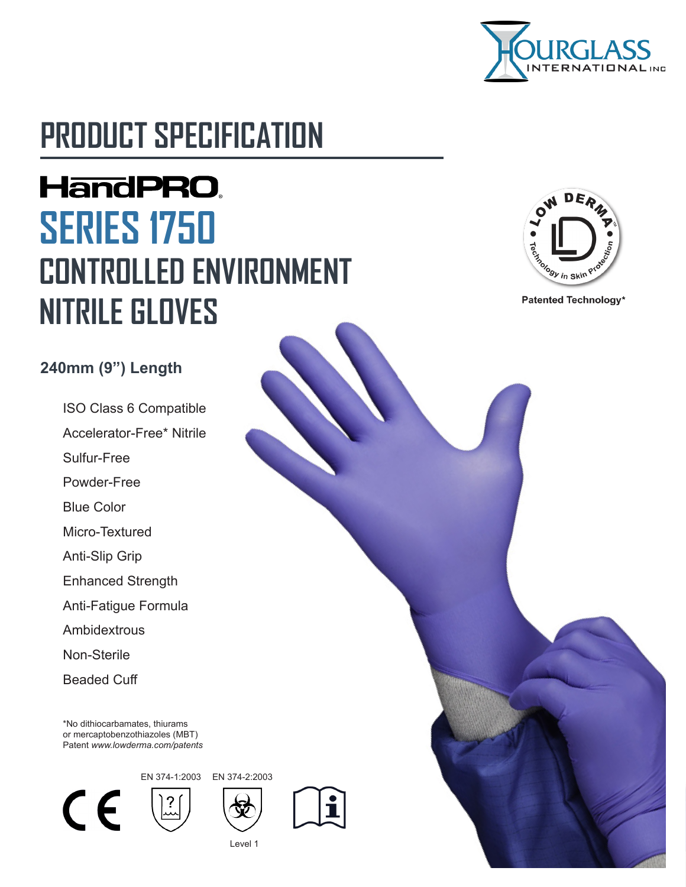

# **PRODUCT SPECIFICATION**

# **HandPRO. SERIES 1750 CONTROLLED ENVIRONMENT NITRILE GLOVES**



Patented Technology\*

#### **240mm (9") Length**

ISO Class 6 Compatible Accelerator-Free\* Nitrile Sulfur-Free Powder-Free Blue Color Micro-Textured Anti-Slip Grip Enhanced Strength Anti-Fatigue Formula Ambidextrous Non-Sterile Beaded Cuff

\*No dithiocarbamates, thiurams or mercaptobenzothiazoles (MBT) Patent *www.lowderma.com/patents*



EN 374-1:2003 EN 374-2:2003





Level 1